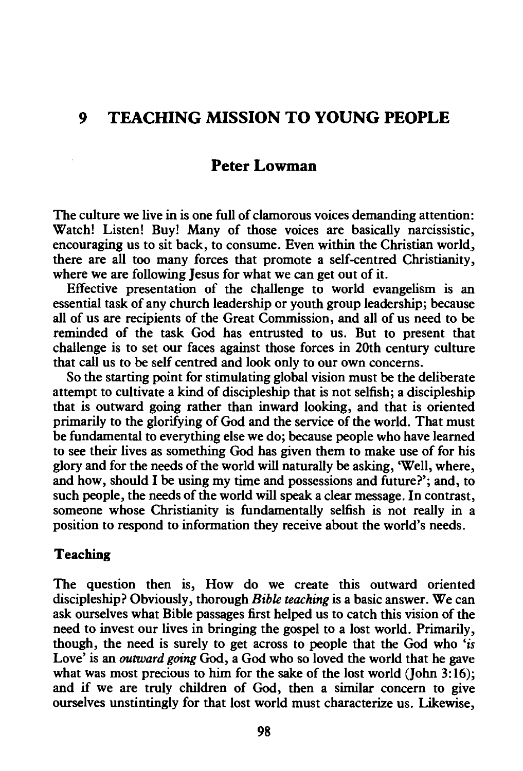# *9* **TEACHING MISSION TO YOUNG PEOPLE**

# **Peter Lowman**

The culture we live in is one full of clamorous voices demanding attention: Watch! Listen! Buy! Many of those voices are basically narcissistic, encouraging us to sit back, to consume. Even within the Christian world, there are all too many forces that promote a self-centred Christianity, where we are following Jesus for what we can get out of it.

Effective presentation of the challenge to world evangelism is an essential task of any church leadership or youth group leadership; because all of us are recipients of the Great Commission, and all of us need to be reminded of the task God has entrusted to us. But to present that challenge is to set our faces against those forces in 20th century culture that call us to be self centred and look only to our own concerns.

So the starting point for stimulating global vision must be the deliberate attempt to cultivate a kind of discipleship that is not selfish; a discipleship that is outward going rather than inward looking, and that is oriented primarily to the glorifying of God and the service of the world. That must be fundamental to everything else we do; because people who have learned to see their lives as something God has given them to make use of for his glory and for the needs of the world will naturally be asking, 'Well, where, and how, should I be using my time and possessions and future?'; and, to such people, the needs of the world will speak a clear message. In contrast, someone whose Christianity is fundamentally selfish is not really in a position to respond to information they receive about the world's needs.

### **Teaching**

The question then is, How do we create this outward oriented discipleship? Obviously, thorough *Bible teaching* is a basic answer. We can ask ourselves what Bible passages first helped us to catch this vision of the need to invest our lives in bringing the gospel to a lost world. Primarily, though, the need is surely to get across to people that the God who *'is*  Love' is an *outward going* God, a God who so loved the world that he gave what was most precious to him for the sake of the lost world (John  $3:16$ ); and if we are truly children of God, then a similar concern to give ourselves unstintingly for that lost world must characterize us. Likewise,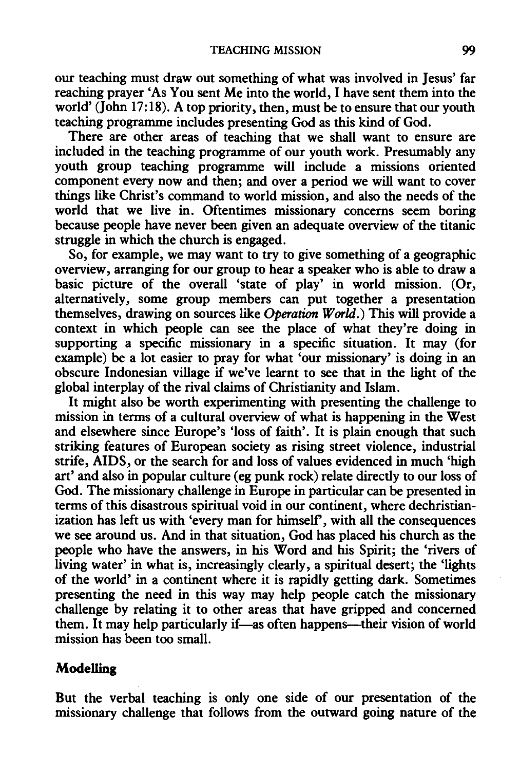our teaching must draw out something of what was involved in Jesus' far reaching prayer 'As You sent Me into the world, I have sent them into the world'  $(John 17:18)$ . A top priority, then, must be to ensure that our youth teaching programme includes presenting God as this kind of God.

There are other areas of teaching that we shall want to ensure are included in the teaching programme of our youth work. Presumably any youth group teaching programme will include a missions oriented component every now and then; and over a period we will want to cover things like Christ's command to world mission, and also the needs of the world that we live in. Oftentimes missionary concerns seem boring because people have never been given an adequate overview of the titanic struggle in which the church is engaged.

So, for example, we may want to try to give something of a geographic overview, arranging for our group to hear a speaker who is able to draw a basic picture of the overall 'state of play' in world mission. (Or, alternatively, some group members can put together a presentation themselves, drawing on sources like Operation World.) This will provide a context in which people can see the place of what they're doing in supporting a specific missionary in a specific situation. It may (for example) be a lot easier to pray for what 'our missionary' is doing in an obscure Indonesian village if we've learnt to see that in the light of the global interplay of the rival claims of Christianity and Islam.

It might also be worth experimenting with presenting the challenge to mission in terms of a cultural overview of what is happening in the West and elsewhere since Europe's 'loss of faith'. It is plain enough that such striking features of European society as rising street violence, industrial strife, AIDS, or the search for and loss of values evidenced in much 'high art' and also in popular culture (eg punk rock) relate directly to our loss of God. The missionary challenge in Europe in particular can be presented in terms of this disastrous spiritual void in our continent, where dechristianization has left us with 'every man for himself', with all the consequences we see around us. And in that situation, God has placed his church as the people who have the answers, in his Word and his Spirit; the 'rivers of living water' in what is, increasingly clearly, a spiritual desert; the 'lights of the world' in a continent where it is rapidly getting dark. Sometimes presenting the need in this way may help people catch the missionary challenge by relating it to other areas that have gripped and concerned them. It may help particularly if—as often happens—their vision of world mission has been too small.

### **Modelling**

But the verbal teaching is only one side of our presentation of the missionary challenge that follows from the outward going nature of the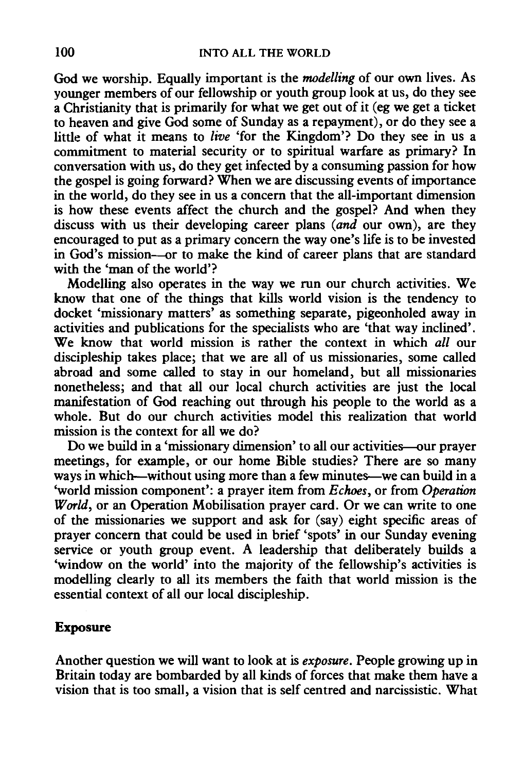God we worship. Equally important is the *modelling* of our own lives. As younger members of our fellowship or youth group look at us, do they see a Christianity that is primarily for what we get out of it (eg we get a ticket to heaven and give God some of Sunday as a repayment), or do they see a little of what it means to *live* 'for the Kingdom'? Do they see in us a commitment to material security or to spiritual warfare as primary? In conversation with us, do they get infected by a consuming passion for how the gospel is going forward? When we are discussing events of importance in the world, do they see in us a concern that the all-important dimension is how these events affect the church and the gospel? And when they discuss with us their developing career plans *(and* our own), are they encouraged to put as a primary concern the way one's life is to be invested in God's mission-or to make the kind of career plans that are standard with the 'man of the world'?

Modelling also operates in the way we run our church activities. We know that one of the things that kills world vision is the tendency to docket 'missionary matters' as something separate, pigeonholed away in activities and publications for the specialists who are 'that way inclined'. We know that world mission is rather the context in which *all* our discipleship takes place; that we are all of us missionaries, some called abroad and some called to stay in our homeland, but all missionaries nonetheless; and that all our local church activities are just the local manifestation of God reaching out through his people to the world as a whole. But do our church activities model this realization that world mission is the context for all we do?

Do we build in a 'missionary dimension' to all our activities-our prayer meetings, for example, or our home Bible studies? There are so many ways in which—without using more than a few minutes—we can build in a 'world mission component': a prayer item from *Echoes,* or from *Operation World,* or an Operation Mobilisation prayer card. Or we can write to one of the missionaries we support and ask for (say) eight specific areas of prayer concern that could be used in brief 'spots' in our Sunday evening service or youth group event. A leadership that deliberately builds a 'window on the world' into the majority of the fellowship's activities is modelling clearly to all its members the faith that world mission is the essential context of all our local discipleship.

## Exposure

Another question we will want to look at is *exposure.* People growing up in Britain today are bombarded by all kinds of forces that make them have a vision that is too small, a vision that is self centred and narcissistic. What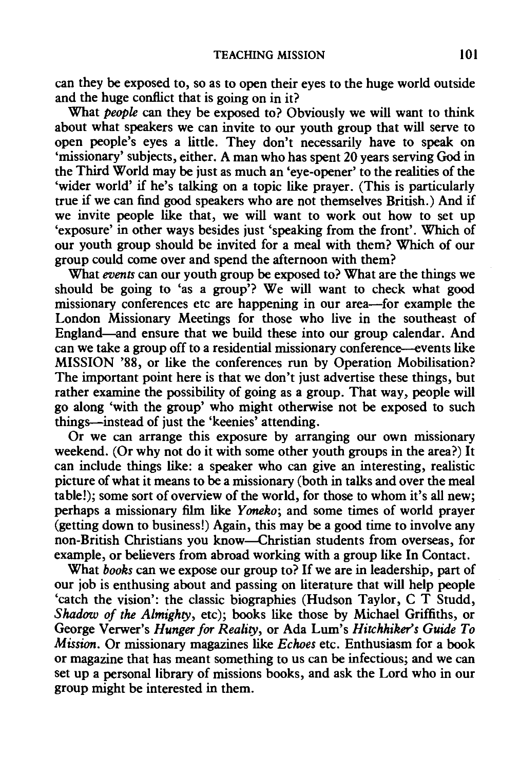can they be exposed to, so as to open their eyes to the huge world outside and the huge conflict that is going on in it?

What *people* can they be exposed to? Obviously we will want to think about what speakers we can invite to our youth group that will serve to open people's eyes a little. They don't necessarily have to speak on 'missionary' subjects, either. A man who has spent 20 years serving God in the Third World may be just as much an 'eye-opener' to the realities of the 'wider world' if he's talking on a topic like prayer. (This is particularly true if we can find good speakers who are not themselves British.) And if we invite people like that, we will want to work out how to set up 'exposure' in other ways besides just 'speaking from the front'. Which of our youth group should be invited for a meal with them? Which of our group could come over and spend the afternoon with them?

What *events* can our youth group be exposed to? What are the things we should be going to 'as a group'? We will want to check what good missionary conferences etc are happening in our area-for example the London Missionary Meetings for those who live in the southeast of England-and ensure that we build these into our group calendar. And can we take a group off to a residential missionary conference-events like MISSION '88, or like the conferences run by Operation Mobilisation? The important point here is that we don't just advertise these things, but rather examine the possibility of going as a group. That way, people will go along 'with the group' who might otherwise not be exposed to such things-instead of just the 'keenies' attending.

Or we can arrange this exposure by arranging our own missionary weekend. (Or why not do it with some other youth groups in the area?) It can include things like: a speaker who can give an interesting, realistic picture of what it means to be a missionary (both in talks and over the meal table!); some sort of overview of the world, for those to whom it's all new; perhaps a missionary film like *Y oneko;* and some times of world prayer (getting down to business!) Again, this may be a good time to involve any non-British Christians you know-Christian students from overseas, for example, or believers from abroad working with a group like In Contact.

What *books* can we expose our group to? If we are in leadership, part of our job is enthusing about and passing on literature that will help people 'catch the vision': the classic biographies (Hudson Taylor, C T Studd, *Shadow of the Almighty,* etc); books like those by Michael Griffiths, or George Verwer's *Hunger for Reality,* or Ada Lum's *Hitchhiker's Guide To Mission.* Or missionary magazines like *Echoes* etc. Enthusiasm for a book or magazine that has meant something to us can be infectious; and we can set up a personal library of missions books, and ask the Lord who in our group might be interested in them.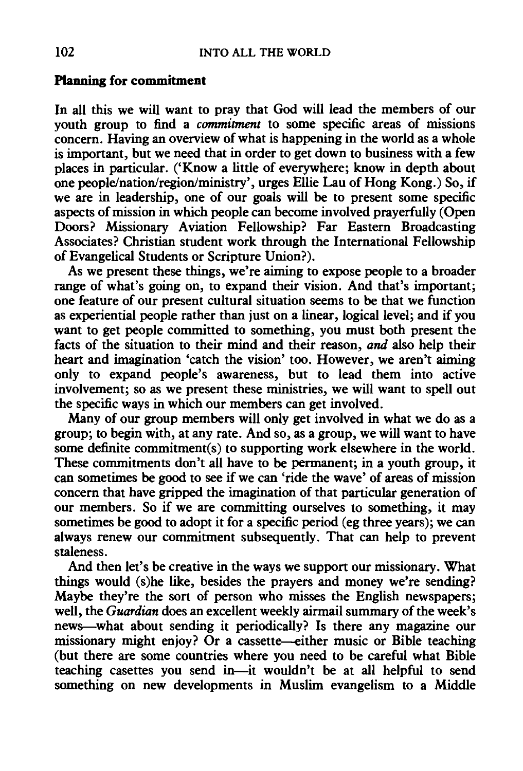#### **Planning for commitment**

In all this we will want to pray that God will lead the members of our youth group to find a *commitment* to some specific areas of missions concern. Having an overview of what is happening in the world as a whole is important, but we need that in order to get down to business with a few places in particular. ('Know a little of everywhere; know in depth about one people/nation/region/ministry', urges Ellie Lau of Hong Kong.) So, if we are in leadership, one of our goals will be to present some specific aspects of mission in which people can become involved prayerfully (Open Doors? Missionary Aviation Fellowship? Far Eastern Broadcasting Associates? Christian student work through the International Fellowship of Evangelical Students or Scripture Union?).

As we present these things, we're aiming to expose people to a broader range of what's going on, to expand their vision. And that's important; one feature of our present cultural situation seems to be that we function as experiential people rather than just on a linear, logical level; and if you want to get people committed to something, you must both present the facts of the situation to their mind and their reason, *and* also help their heart and imagination 'catch the vision' too. However, we aren't aiming only to expand people's awareness, but to lead them into active involvement; so as we present these ministries, we will want to spell out the specific ways in which our members can get involved.

Many of our group members will only get involved in what we do as a group; to begin with, at any rate. And so, as a group, we will want to have some definite commitment(s) to supporting work elsewhere in the world. These commitments don't all have to be permanent; in a youth group, it can sometimes be good to see if we can 'ride the wave' of areas of mission concern that have gripped the imagination of that particular generation of our members. So if we are committing ourselves to something, it may sometimes be good to adopt it for a specific period (eg three years); we can always renew our commitment subsequently. That can help to prevent staleness.

And then let's be creative in the ways we support our missionary. What things would (s)he like, besides the prayers and money we're sending? Maybe they're the sort of person who misses the English newspapers; well, the *Guardian* does an excellent weekly airmail summary of the week's news-what about sending it periodically? Is there any magazine our missionary might enjoy? Or a cassette--either music or Bible teaching (but there are some countries where you need to be careful what Bible teaching casettes you send in-it wouldn't be at all helpful to send something on new developments in Muslim evangelism to a Middle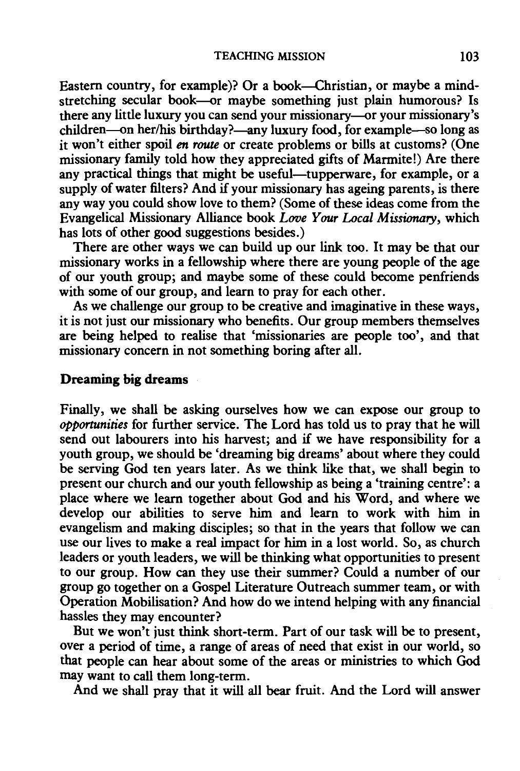Eastern country, for example)? Or a book---Christian, or maybe a mindstretching secular book--or maybe something just plain humorous? Is there any little luxury you can send your missionary--or your missionary's children--on her/his birthday?--any luxury food, for example--so long as it won't either spoil *en route* or create problems or bills at customs? (One missionary family told how they appreciated gifts of Marmite!) Are there any practical things that might be useful-tupperware, for example, or a supply of water filters? And if your missionary has ageing parents, is there any way you could show love to them? (Some of these ideas come from the Evangelical Missionary Alliance book *Love Your Local Missionary,* which has lots of other good suggestions besides.)

There are other ways we can build up our link too. It may be that our missionary works in a fellowship where there are young people of the age of our youth group; and maybe some of these could become penfriends with some of our group, and learn to pray for each other.

As we challenge our group to be creative and imaginative in these ways, it is not just our missionary who benefits. Our group members themselves are being helped to realise that 'missionaries are people too', and that missionary concern in not something boring after all.

#### **Dreaming big dreams**

Finally, we shall be asking ourselves how we can expose our group to *opportunities* for further service. The Lord has told us to pray that he will send out labourers into his harvest; and if we have responsibility for a youth group, we should be 'dreaming big dreams' about where they could be serving God ten years later. As we think like that, we shall begin to present our church and our youth fellowship as being a 'training centre': a place where we learn together about God and his Word, and where we develop our abilities to serve him and learn to work with him in evangelism and making disciples; so that in the years that follow we can use our lives to make a real impact for him in a lost world. So, as church leaders or youth leaders, we will be thinking what opportunities to present to our group. How can they use their summer? Could a number of our group go together on a Gospel Literature Outreach summer team, or with Operation Mobilisation? And how do we intend helping with any financial hassles they may encounter?

But we won't just think short-term. Part of our task will be to present, over a period of time, a range of areas of need that exist in our world, so that people can hear about some of the areas or ministries to which God may want to call them long-term.

And we shall pray that it will all bear fruit. And the Lord will answer